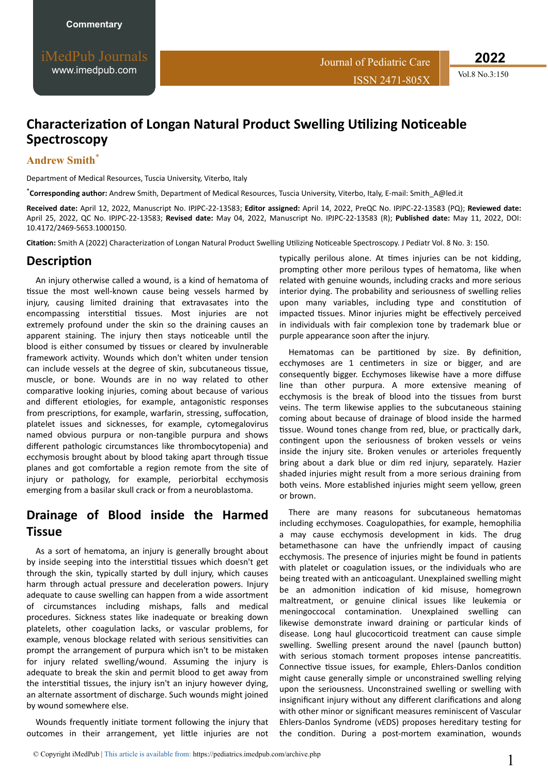**2022**

# **Characterization of Longan Natural Product Swelling Utilizing Noticeable Spectroscopy**

#### **Andrew Smith**\*

Department of Medical Resources, Tuscia University, Viterbo, Italy

\***Corresponding author:** Andrew Smith, Department of Medical Resources, Tuscia University, Viterbo, Italy, E-mail: Smith\_A@led.it

**Received date:** April 12, 2022, Manuscript No. IPJPC-22-13583; **Editor assigned:** April 14, 2022, PreQC No. IPJPC-22-13583 (PQ); **Reviewed date:** April 25, 2022, QC No. IPJPC-22-13583; **Revised date:** May 04, 2022, Manuscript No. IPJPC-22-13583 (R); **Published date:** May 11, 2022, DOI: 10.4172/2469-5653.1000150.

Citation: Smith A (2022) Characterization of Longan Natural Product Swelling Utilizing Noticeable Spectroscopy. J Pediatr Vol. 8 No. 3: 150.

#### **Description**

An injury otherwise called a wound, is a kind of hematoma of tissue the most well-known cause being vessels harmed by injury, causing limited draining that extravasates into the encompassing interstitial tissues. Most injuries are not extremely profound under the skin so the draining causes an apparent staining. The injury then stays noticeable until the blood is either consumed by tissues or cleared by invulnerable framework activity. Wounds which don't whiten under tension can include vessels at the degree of skin, subcutaneous tissue, muscle, or bone. Wounds are in no way related to other comparative looking injuries, coming about because of various and different etiologies, for example, antagonistic responses from prescriptions, for example, warfarin, stressing, suffocation, platelet issues and sicknesses, for example, cytomegalovirus named obvious purpura or non-tangible purpura and shows different pathologic circumstances like thrombocytopenia) and ecchymosis brought about by blood taking apart through tissue planes and got comfortable a region remote from the site of injury or pathology, for example, periorbital ecchymosis emerging from a basilar skull crack or from a neuroblastoma.

## **Drainage of Blood inside the Harmed Tissue**

As a sort of hematoma, an injury is generally brought about by inside seeping into the interstitial tissues which doesn't get through the skin, typically started by dull injury, which causes harm through actual pressure and deceleration powers. Injury adequate to cause swelling can happen from a wide assortment of circumstances including mishaps, falls and medical procedures. Sickness states like inadequate or breaking down platelets, other coagulation lacks, or vascular problems, for example, venous blockage related with serious sensitivities can prompt the arrangement of purpura which isn't to be mistaken for injury related swelling/wound. Assuming the injury is adequate to break the skin and permit blood to get away from the interstitial tissues, the injury isn't an injury however dying, an alternate assortment of discharge. Such wounds might joined by wound somewhere else.

Wounds frequently initiate torment following the injury that outcomes in their arrangement, yet little injuries are not typically perilous alone. At times injuries can be not kidding, prompting other more perilous types of hematoma, like when related with genuine wounds, including cracks and more serious interior dying. The probability and seriousness of swelling relies upon many variables, including type and constitution of impacted tissues. Minor injuries might be effectively perceived in individuals with fair complexion tone by trademark blue or purple appearance soon after the injury.

Hematomas can be partitioned by size. By definition, ecchymoses are 1 centimeters in size or bigger, and are consequently bigger. Ecchymoses likewise have a more diffuse line than other purpura. A more extensive meaning of ecchymosis is the break of blood into the tissues from burst veins. The term likewise applies to the subcutaneous staining coming about because of drainage of blood inside the harmed tissue. Wound tones change from red, blue, or practically dark, contingent upon the seriousness of broken vessels or veins inside the injury site. Broken venules or arterioles frequently bring about a dark blue or dim red injury, separately. Hazier shaded injuries might result from a more serious draining from both veins. More established injuries might seem yellow, green or brown.

There are many reasons for subcutaneous hematomas including ecchymoses. Coagulopathies, for example, hemophilia a may cause ecchymosis development in kids. The drug betamethasone can have the unfriendly impact of causing ecchymosis. The presence of injuries might be found in patients with platelet or coagulation issues, or the individuals who are being treated with an anticoagulant. Unexplained swelling might be an admonition indication of kid misuse, homegrown maltreatment, or genuine clinical issues like leukemia or meningoccocal contamination. Unexplained swelling can likewise demonstrate inward draining or particular kinds of disease. Long haul glucocorticoid treatment can cause simple swelling. Swelling present around the navel (paunch button) with serious stomach torment proposes intense pancreatitis. Connective tissue issues, for example, Ehlers-Danlos condition might cause generally simple or unconstrained swelling relying upon the seriousness. Unconstrained swelling or swelling with insignificant injury without any different clarifications and along with other minor or significant measures reminiscent of Vascular Ehlers-Danlos Syndrome (vEDS) proposes hereditary testing for the condition. During a post-mortem examination, wounds